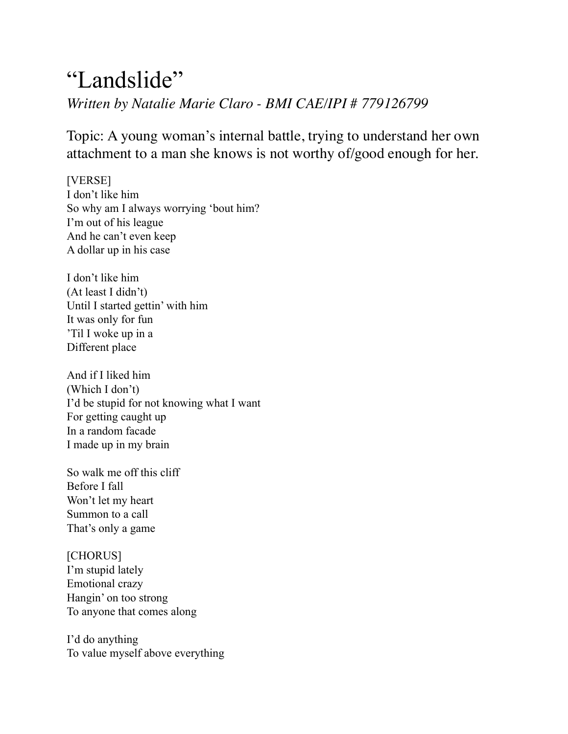## "Landslide" *Written by Natalie Marie Claro - BMI CAE/IPI # 779126799*

Topic: A young woman's internal battle, trying to understand her own attachment to a man she knows is not worthy of/good enough for her.

[VERSE] I don't like him So why am I always worrying 'bout him? I'm out of his league And he can't even keep A dollar up in his case

I don't like him (At least I didn't) Until I started gettin' with him It was only for fun 'Til I woke up in a Different place

And if I liked him (Which I don't) I'd be stupid for not knowing what I want For getting caught up In a random facade I made up in my brain

So walk me off this cliff Before I fall Won't let my heart Summon to a call That's only a game

[CHORUS] I'm stupid lately Emotional crazy Hangin' on too strong To anyone that comes along

I'd do anything To value myself above everything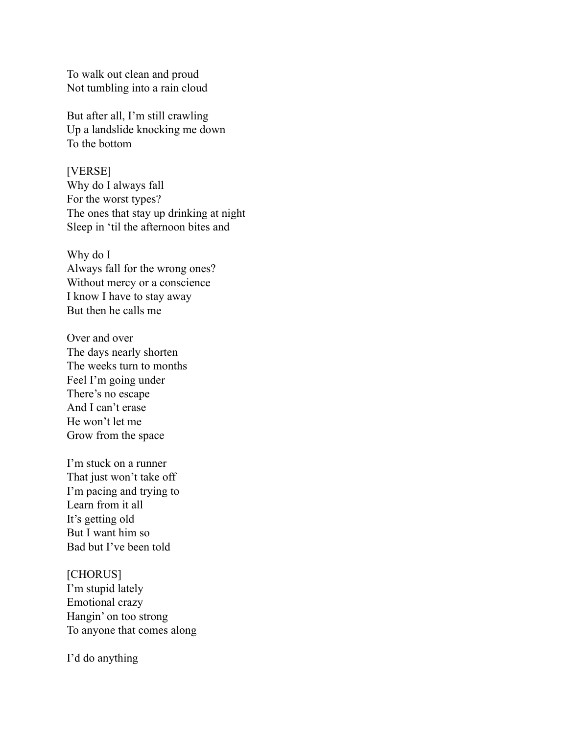To walk out clean and proud Not tumbling into a rain cloud

But after all, I'm still crawling Up a landslide knocking me down To the bottom

[VERSE]

Why do I always fall For the worst types? The ones that stay up drinking at night Sleep in 'til the afternoon bites and

Why do I Always fall for the wrong ones? Without mercy or a conscience I know I have to stay away But then he calls me

Over and over The days nearly shorten The weeks turn to months Feel I'm going under There's no escape And I can't erase He won't let me Grow from the space

I'm stuck on a runner That just won't take off I'm pacing and trying to Learn from it all It's getting old But I want him so Bad but I've been told

[CHORUS] I'm stupid lately Emotional crazy Hangin' on too strong To anyone that comes along

I'd do anything